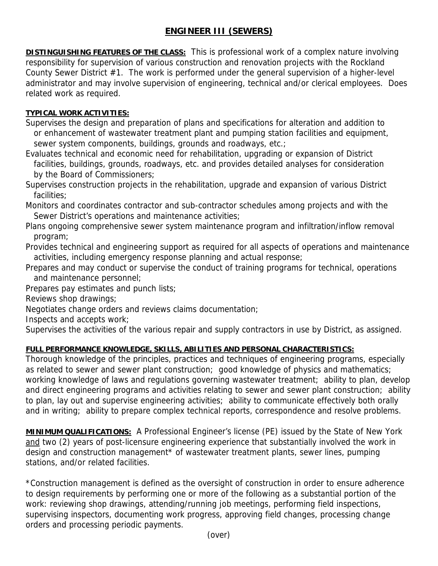## **ENGINEER III (SEWERS)**

**DISTINGUISHING FEATURES OF THE CLASS:** This is professional work of a complex nature involving responsibility for supervision of various construction and renovation projects with the Rockland County Sewer District #1. The work is performed under the general supervision of a higher-level administrator and may involve supervision of engineering, technical and/or clerical employees. Does related work as required.

## **TYPICAL WORK ACTIVITIES:**

Supervises the design and preparation of plans and specifications for alteration and addition to or enhancement of wastewater treatment plant and pumping station facilities and equipment, sewer system components, buildings, grounds and roadways, etc.;

Evaluates technical and economic need for rehabilitation, upgrading or expansion of District facilities, buildings, grounds, roadways, etc. and provides detailed analyses for consideration by the Board of Commissioners;

Supervises construction projects in the rehabilitation, upgrade and expansion of various District facilities;

Monitors and coordinates contractor and sub-contractor schedules among projects and with the Sewer District's operations and maintenance activities;

Plans ongoing comprehensive sewer system maintenance program and infiltration/inflow removal program;

Provides technical and engineering support as required for all aspects of operations and maintenance activities, including emergency response planning and actual response;

Prepares and may conduct or supervise the conduct of training programs for technical, operations and maintenance personnel;

Prepares pay estimates and punch lists;

Reviews shop drawings;

Negotiates change orders and reviews claims documentation;

Inspects and accepts work;

Supervises the activities of the various repair and supply contractors in use by District, as assigned.

## **FULL PERFORMANCE KNOWLEDGE, SKILLS, ABILITIES AND PERSONAL CHARACTERISTICS:**

Thorough knowledge of the principles, practices and techniques of engineering programs, especially as related to sewer and sewer plant construction; good knowledge of physics and mathematics; working knowledge of laws and regulations governing wastewater treatment; ability to plan, develop and direct engineering programs and activities relating to sewer and sewer plant construction; ability to plan, lay out and supervise engineering activities; ability to communicate effectively both orally and in writing; ability to prepare complex technical reports, correspondence and resolve problems.

**MINIMUM QUALIFICATIONS:** A Professional Engineer's license (PE) issued by the State of New York and two (2) years of post-licensure engineering experience that substantially involved the work in design and construction management\* of wastewater treatment plants, sewer lines, pumping stations, and/or related facilities.

\*Construction management is defined as the oversight of construction in order to ensure adherence to design requirements by performing one or more of the following as a substantial portion of the work: reviewing shop drawings, attending/running job meetings, performing field inspections, supervising inspectors, documenting work progress, approving field changes, processing change orders and processing periodic payments.